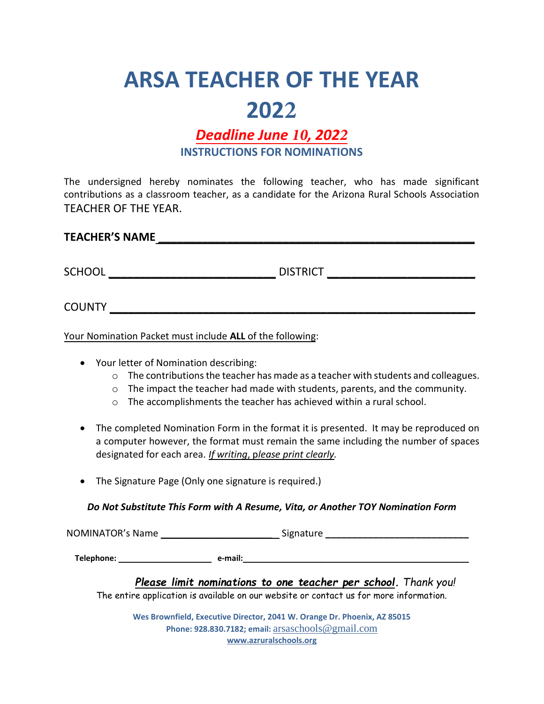## **ARSA TEACHER OF THE YEAR 2022**

## *Deadline June 10, 2022* **INSTRUCTIONS FOR NOMINATIONS**

The undersigned hereby nominates the following teacher, who has made significant contributions as a classroom teacher, as a candidate for the Arizona Rural Schools Association TEACHER OF THE YEAR.

| <b>TEACHER'S NAME</b> |  |
|-----------------------|--|
|                       |  |

SCHOOL \_\_\_\_\_\_\_\_\_\_\_\_\_\_\_\_\_\_\_\_\_\_\_\_\_\_\_ DISTRICT \_\_\_\_\_\_\_\_\_\_\_\_\_\_\_\_\_\_\_\_\_\_\_\_

COUNTY \_\_\_\_\_\_\_\_\_\_\_\_\_\_\_\_\_\_\_\_\_\_\_\_\_\_\_\_\_\_\_\_\_\_\_\_\_\_\_\_\_\_\_\_\_\_\_\_\_\_\_\_\_\_\_\_\_\_\_

Your Nomination Packet must include **ALL** of the following:

- Your letter of Nomination describing:
	- o The contributions the teacher has made as a teacher with students and colleagues.
	- $\circ$  The impact the teacher had made with students, parents, and the community.
	- $\circ$  The accomplishments the teacher has achieved within a rural school.
- The completed Nomination Form in the format it is presented. It may be reproduced on a computer however, the format must remain the same including the number of spaces designated for each area. *If writing*, p*lease print clearly.*
- The Signature Page (Only one signature is required.)

*Do Not Substitute This Form with A Resume, Vita, or Another TOY Nomination Form*

NOMINATOR's Name \_\_\_\_\_\_\_\_\_\_\_\_\_\_\_\_\_\_\_\_\_ Signature **\_\_\_\_\_\_\_\_\_\_\_\_\_\_\_\_\_\_\_\_\_\_\_\_\_\_\_**

**Telephone:** \_\_\_\_\_\_\_\_\_\_\_\_\_\_\_\_\_\_\_\_\_ **e-mail:**\_\_\_\_\_\_\_\_\_\_\_\_\_\_\_\_\_\_\_\_\_\_\_\_\_\_\_\_\_\_\_\_\_\_\_\_\_\_\_\_\_\_\_\_\_\_\_\_\_\_\_

*Please limit nominations to one teacher per school. Thank you!* The entire application is available on our website or contact us for more information.

**Wes Brownfield, Executive Director, 2041 W. Orange Dr. Phoenix, AZ 85015 Phone: 928.830.7182; email:** [arsaschools@g](mailto:arsa@tds.net)mail.com **[www.azruralschools.org](http://www.azruralschools.org/)**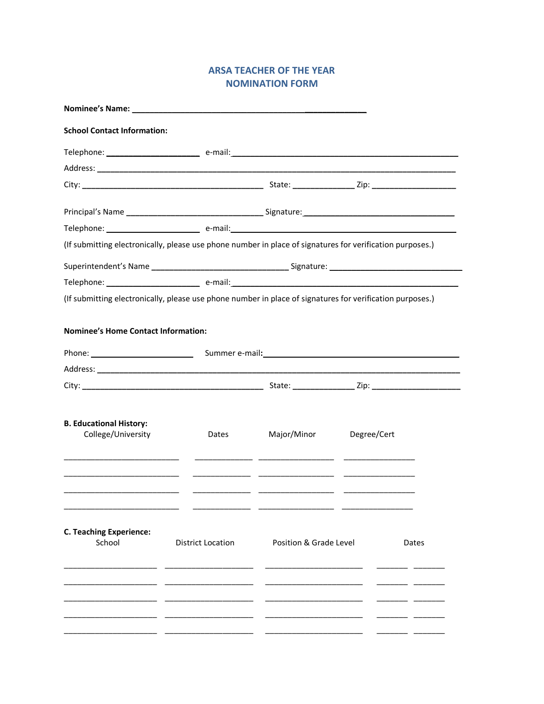## **ARSA TEACHER OF THE YEAR NOMINATION FORM**

| <b>School Contact Information:</b><br>Major/Minor<br>Degree/Cert<br>College/University<br>Dates                                                                                           | Nominee's Name: |  |       |
|-------------------------------------------------------------------------------------------------------------------------------------------------------------------------------------------|-----------------|--|-------|
|                                                                                                                                                                                           |                 |  |       |
|                                                                                                                                                                                           |                 |  |       |
| (If submitting electronically, please use phone number in place of signatures for verification purposes.)                                                                                 |                 |  |       |
|                                                                                                                                                                                           |                 |  |       |
|                                                                                                                                                                                           |                 |  |       |
|                                                                                                                                                                                           |                 |  |       |
|                                                                                                                                                                                           |                 |  |       |
|                                                                                                                                                                                           |                 |  |       |
| (If submitting electronically, please use phone number in place of signatures for verification purposes.)<br><b>Nominee's Home Contact Information:</b><br><b>B. Educational History:</b> |                 |  |       |
|                                                                                                                                                                                           |                 |  |       |
|                                                                                                                                                                                           |                 |  |       |
| <b>C. Teaching Experience:</b>                                                                                                                                                            |                 |  |       |
|                                                                                                                                                                                           |                 |  |       |
| School<br><b>District Location</b><br>Position & Grade Level                                                                                                                              |                 |  | Dates |